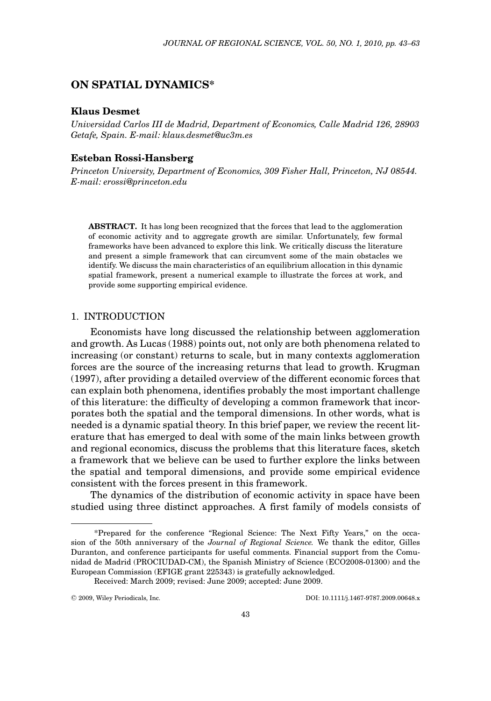# **ON SPATIAL DYNAMICS\***

#### **Klaus Desmet**

*Universidad Carlos III de Madrid, Department of Economics, Calle Madrid 126, 28903 Getafe, Spain. E-mail: klaus.desmet@uc3m.es*

#### **Esteban Rossi-Hansberg**

*Princeton University, Department of Economics, 309 Fisher Hall, Princeton, NJ 08544. E-mail: erossi@princeton.edu*

**ABSTRACT.** It has long been recognized that the forces that lead to the agglomeration of economic activity and to aggregate growth are similar. Unfortunately, few formal frameworks have been advanced to explore this link. We critically discuss the literature and present a simple framework that can circumvent some of the main obstacles we identify. We discuss the main characteristics of an equilibrium allocation in this dynamic spatial framework, present a numerical example to illustrate the forces at work, and provide some supporting empirical evidence.

## 1. INTRODUCTION

Economists have long discussed the relationship between agglomeration and growth. As Lucas (1988) points out, not only are both phenomena related to increasing (or constant) returns to scale, but in many contexts agglomeration forces are the source of the increasing returns that lead to growth. Krugman (1997), after providing a detailed overview of the different economic forces that can explain both phenomena, identifies probably the most important challenge of this literature: the difficulty of developing a common framework that incorporates both the spatial and the temporal dimensions. In other words, what is needed is a dynamic spatial theory. In this brief paper, we review the recent literature that has emerged to deal with some of the main links between growth and regional economics, discuss the problems that this literature faces, sketch a framework that we believe can be used to further explore the links between the spatial and temporal dimensions, and provide some empirical evidence consistent with the forces present in this framework.

The dynamics of the distribution of economic activity in space have been studied using three distinct approaches. A first family of models consists of

!<sup>C</sup> 2009, Wiley Periodicals, Inc. DOI: 10.1111/j.1467-9787.2009.00648.x

<sup>\*</sup>Prepared for the conference "Regional Science: The Next Fifty Years," on the occasion of the 50th anniversary of the *Journal of Regional Science.* We thank the editor, Gilles Duranton, and conference participants for useful comments. Financial support from the Comunidad de Madrid (PROCIUDAD-CM), the Spanish Ministry of Science (ECO2008-01300) and the European Commission (EFIGE grant 225343) is gratefully acknowledged.

Received: March 2009; revised: June 2009; accepted: June 2009.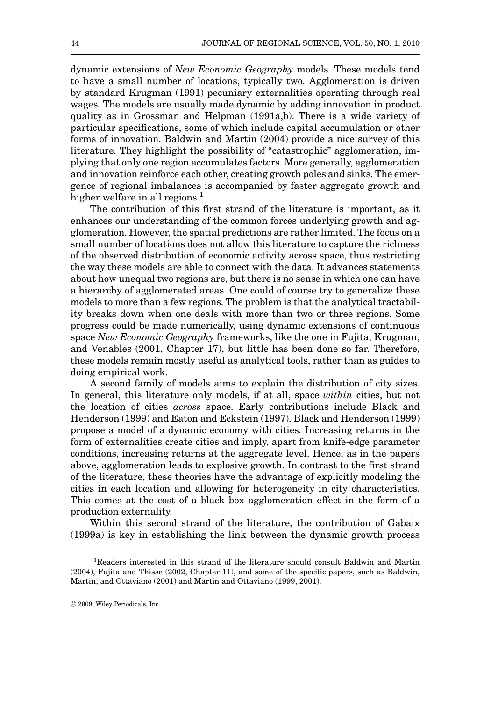dynamic extensions of *New Economic Geography* models. These models tend to have a small number of locations, typically two. Agglomeration is driven by standard Krugman (1991) pecuniary externalities operating through real wages. The models are usually made dynamic by adding innovation in product quality as in Grossman and Helpman (1991a,b). There is a wide variety of particular specifications, some of which include capital accumulation or other forms of innovation. Baldwin and Martin (2004) provide a nice survey of this literature. They highlight the possibility of "catastrophic" agglomeration, implying that only one region accumulates factors. More generally, agglomeration and innovation reinforce each other, creating growth poles and sinks. The emergence of regional imbalances is accompanied by faster aggregate growth and higher welfare in all regions.<sup>1</sup>

The contribution of this first strand of the literature is important, as it enhances our understanding of the common forces underlying growth and agglomeration. However, the spatial predictions are rather limited. The focus on a small number of locations does not allow this literature to capture the richness of the observed distribution of economic activity across space, thus restricting the way these models are able to connect with the data. It advances statements about how unequal two regions are, but there is no sense in which one can have a hierarchy of agglomerated areas. One could of course try to generalize these models to more than a few regions. The problem is that the analytical tractability breaks down when one deals with more than two or three regions. Some progress could be made numerically, using dynamic extensions of continuous space *New Economic Geography* frameworks, like the one in Fujita, Krugman, and Venables (2001, Chapter 17), but little has been done so far. Therefore, these models remain mostly useful as analytical tools, rather than as guides to doing empirical work.

A second family of models aims to explain the distribution of city sizes. In general, this literature only models, if at all, space *within* cities, but not the location of cities *across* space. Early contributions include Black and Henderson (1999) and Eaton and Eckstein (1997). Black and Henderson (1999) propose a model of a dynamic economy with cities. Increasing returns in the form of externalities create cities and imply, apart from knife-edge parameter conditions, increasing returns at the aggregate level. Hence, as in the papers above, agglomeration leads to explosive growth. In contrast to the first strand of the literature, these theories have the advantage of explicitly modeling the cities in each location and allowing for heterogeneity in city characteristics. This comes at the cost of a black box agglomeration effect in the form of a production externality.

Within this second strand of the literature, the contribution of Gabaix (1999a) is key in establishing the link between the dynamic growth process

<sup>1</sup>Readers interested in this strand of the literature should consult Baldwin and Martin (2004), Fujita and Thisse (2002, Chapter 11), and some of the specific papers, such as Baldwin, Martin, and Ottaviano (2001) and Martin and Ottaviano (1999, 2001).

 $©$  2009, Wiley Periodicals, Inc.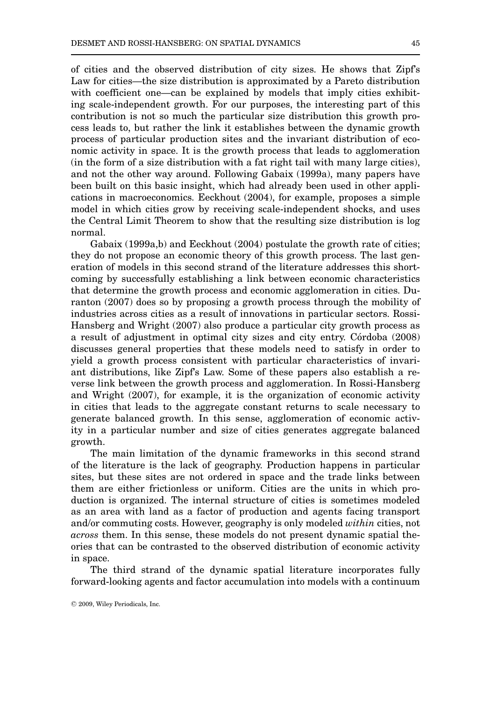of cities and the observed distribution of city sizes. He shows that Zipf's Law for cities—the size distribution is approximated by a Pareto distribution with coefficient one—can be explained by models that imply cities exhibiting scale-independent growth. For our purposes, the interesting part of this contribution is not so much the particular size distribution this growth process leads to, but rather the link it establishes between the dynamic growth process of particular production sites and the invariant distribution of economic activity in space. It is the growth process that leads to agglomeration (in the form of a size distribution with a fat right tail with many large cities), and not the other way around. Following Gabaix (1999a), many papers have been built on this basic insight, which had already been used in other applications in macroeconomics. Eeckhout (2004), for example, proposes a simple model in which cities grow by receiving scale-independent shocks, and uses the Central Limit Theorem to show that the resulting size distribution is log normal.

Gabaix (1999a,b) and Eeckhout (2004) postulate the growth rate of cities; they do not propose an economic theory of this growth process. The last generation of models in this second strand of the literature addresses this shortcoming by successfully establishing a link between economic characteristics that determine the growth process and economic agglomeration in cities. Duranton (2007) does so by proposing a growth process through the mobility of industries across cities as a result of innovations in particular sectors. Rossi-Hansberg and Wright (2007) also produce a particular city growth process as a result of adjustment in optimal city sizes and city entry. Cordoba (2008) discusses general properties that these models need to satisfy in order to yield a growth process consistent with particular characteristics of invariant distributions, like Zipf's Law. Some of these papers also establish a reverse link between the growth process and agglomeration. In Rossi-Hansberg and Wright (2007), for example, it is the organization of economic activity in cities that leads to the aggregate constant returns to scale necessary to generate balanced growth. In this sense, agglomeration of economic activity in a particular number and size of cities generates aggregate balanced growth.

The main limitation of the dynamic frameworks in this second strand of the literature is the lack of geography. Production happens in particular sites, but these sites are not ordered in space and the trade links between them are either frictionless or uniform. Cities are the units in which production is organized. The internal structure of cities is sometimes modeled as an area with land as a factor of production and agents facing transport and/or commuting costs. However, geography is only modeled *within* cities, not *across* them. In this sense, these models do not present dynamic spatial theories that can be contrasted to the observed distribution of economic activity in space.

The third strand of the dynamic spatial literature incorporates fully forward-looking agents and factor accumulation into models with a continuum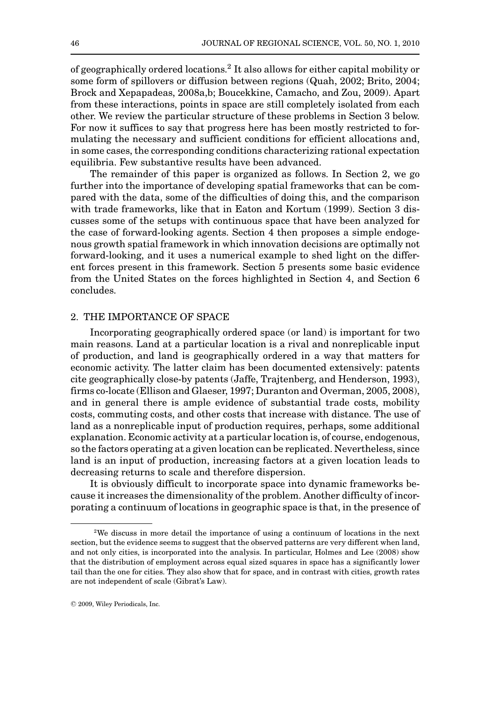of geographically ordered locations.2 It also allows for either capital mobility or some form of spillovers or diffusion between regions (Quah, 2002; Brito, 2004; Brock and Xepapadeas, 2008a,b; Boucekkine, Camacho, and Zou, 2009). Apart from these interactions, points in space are still completely isolated from each other. We review the particular structure of these problems in Section 3 below. For now it suffices to say that progress here has been mostly restricted to formulating the necessary and sufficient conditions for efficient allocations and, in some cases, the corresponding conditions characterizing rational expectation equilibria. Few substantive results have been advanced.

The remainder of this paper is organized as follows. In Section 2, we go further into the importance of developing spatial frameworks that can be compared with the data, some of the difficulties of doing this, and the comparison with trade frameworks, like that in Eaton and Kortum (1999). Section 3 discusses some of the setups with continuous space that have been analyzed for the case of forward-looking agents. Section 4 then proposes a simple endogenous growth spatial framework in which innovation decisions are optimally not forward-looking, and it uses a numerical example to shed light on the different forces present in this framework. Section 5 presents some basic evidence from the United States on the forces highlighted in Section 4, and Section 6 concludes.

#### 2. THE IMPORTANCE OF SPACE

Incorporating geographically ordered space (or land) is important for two main reasons. Land at a particular location is a rival and nonreplicable input of production, and land is geographically ordered in a way that matters for economic activity. The latter claim has been documented extensively: patents cite geographically close-by patents (Jaffe, Trajtenberg, and Henderson, 1993), firms co-locate (Ellison and Glaeser, 1997; Duranton and Overman, 2005, 2008), and in general there is ample evidence of substantial trade costs, mobility costs, commuting costs, and other costs that increase with distance. The use of land as a nonreplicable input of production requires, perhaps, some additional explanation. Economic activity at a particular location is, of course, endogenous, so the factors operating at a given location can be replicated. Nevertheless, since land is an input of production, increasing factors at a given location leads to decreasing returns to scale and therefore dispersion.

It is obviously difficult to incorporate space into dynamic frameworks because it increases the dimensionality of the problem. Another difficulty of incorporating a continuum of locations in geographic space is that, in the presence of

<sup>2</sup>We discuss in more detail the importance of using a continuum of locations in the next section, but the evidence seems to suggest that the observed patterns are very different when land, and not only cities, is incorporated into the analysis. In particular, Holmes and Lee (2008) show that the distribution of employment across equal sized squares in space has a significantly lower tail than the one for cities. They also show that for space, and in contrast with cities, growth rates are not independent of scale (Gibrat's Law).

 $©$  2009, Wiley Periodicals, Inc.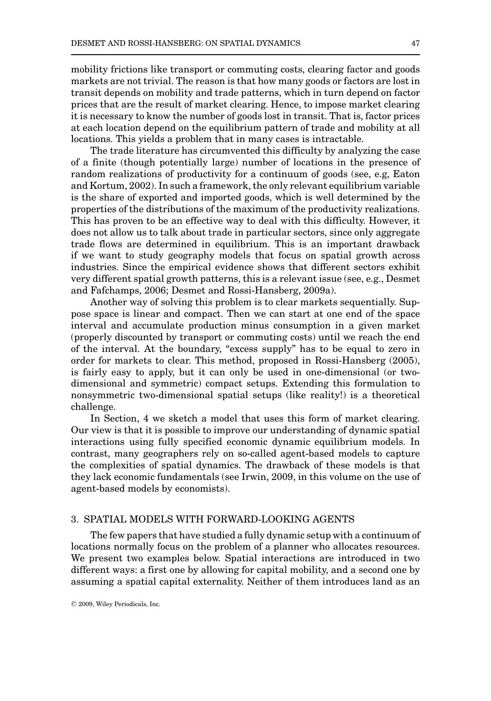mobility frictions like transport or commuting costs, clearing factor and goods markets are not trivial. The reason is that how many goods or factors are lost in transit depends on mobility and trade patterns, which in turn depend on factor prices that are the result of market clearing. Hence, to impose market clearing it is necessary to know the number of goods lost in transit. That is, factor prices at each location depend on the equilibrium pattern of trade and mobility at all locations. This yields a problem that in many cases is intractable.

The trade literature has circumvented this difficulty by analyzing the case of a finite (though potentially large) number of locations in the presence of random realizations of productivity for a continuum of goods (see, e.g, Eaton and Kortum, 2002). In such a framework, the only relevant equilibrium variable is the share of exported and imported goods, which is well determined by the properties of the distributions of the maximum of the productivity realizations. This has proven to be an effective way to deal with this difficulty. However, it does not allow us to talk about trade in particular sectors, since only aggregate trade flows are determined in equilibrium. This is an important drawback if we want to study geography models that focus on spatial growth across industries. Since the empirical evidence shows that different sectors exhibit very different spatial growth patterns, this is a relevant issue (see, e.g., Desmet and Fafchamps, 2006; Desmet and Rossi-Hansberg, 2009a).

Another way of solving this problem is to clear markets sequentially. Suppose space is linear and compact. Then we can start at one end of the space interval and accumulate production minus consumption in a given market (properly discounted by transport or commuting costs) until we reach the end of the interval. At the boundary, "excess supply" has to be equal to zero in order for markets to clear. This method, proposed in Rossi-Hansberg (2005), is fairly easy to apply, but it can only be used in one-dimensional (or twodimensional and symmetric) compact setups. Extending this formulation to nonsymmetric two-dimensional spatial setups (like reality!) is a theoretical challenge.

In Section, 4 we sketch a model that uses this form of market clearing. Our view is that it is possible to improve our understanding of dynamic spatial interactions using fully specified economic dynamic equilibrium models. In contrast, many geographers rely on so-called agent-based models to capture the complexities of spatial dynamics. The drawback of these models is that they lack economic fundamentals (see Irwin, 2009, in this volume on the use of agent-based models by economists).

## 3. SPATIAL MODELS WITH FORWARD-LOOKING AGENTS

The few papers that have studied a fully dynamic setup with a continuum of locations normally focus on the problem of a planner who allocates resources. We present two examples below. Spatial interactions are introduced in two different ways: a first one by allowing for capital mobility, and a second one by assuming a spatial capital externality. Neither of them introduces land as an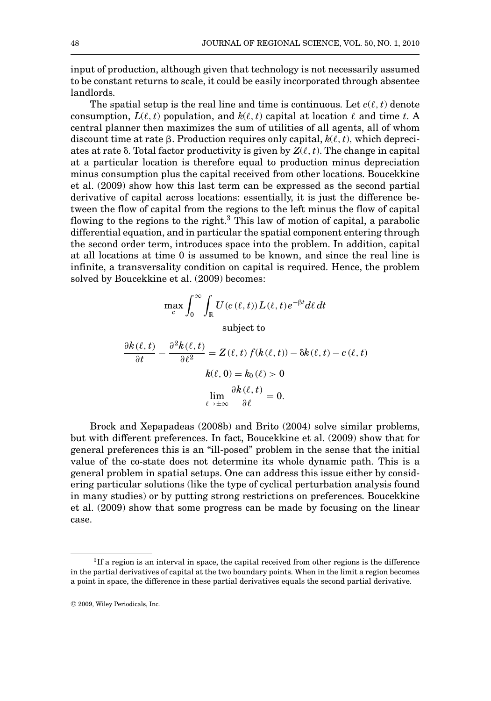input of production, although given that technology is not necessarily assumed to be constant returns to scale, it could be easily incorporated through absentee landlords.

The spatial setup is the real line and time is continuous. Let  $c(\ell, t)$  denote consumption,  $L(\ell, t)$  population, and  $k(\ell, t)$  capital at location  $\ell$  and time  $t$ . A central planner then maximizes the sum of utilities of all agents, all of whom discount time at rate  $\beta$ . Production requires only capital,  $k(\ell, t)$ , which depreciates at rate  $\delta$ . Total factor productivity is given by  $Z(\ell, t)$ . The change in capital at a particular location is therefore equal to production minus depreciation minus consumption plus the capital received from other locations. Boucekkine et al. (2009) show how this last term can be expressed as the second partial derivative of capital across locations: essentially, it is just the difference between the flow of capital from the regions to the left minus the flow of capital flowing to the regions to the right.3 This law of motion of capital, a parabolic differential equation, and in particular the spatial component entering through the second order term, introduces space into the problem. In addition, capital at all locations at time 0 is assumed to be known, and since the real line is infinite, a transversality condition on capital is required. Hence, the problem solved by Boucekkine et al. (2009) becomes:

$$
\max_{c} \int_0^\infty \int_{\mathbb{R}} U(c(\ell,t)) L(\ell,t) e^{-\beta t} d\ell dt
$$

subject to

$$
\frac{\partial k(\ell,t)}{\partial t} - \frac{\partial^2 k(\ell,t)}{\partial \ell^2} = Z(\ell,t) f(k(\ell,t)) - \delta k(\ell,t) - c(\ell,t)
$$

$$
k(\ell,0) = k_0(\ell) > 0
$$

$$
\lim_{\ell \to \pm \infty} \frac{\partial k(\ell,t)}{\partial \ell} = 0.
$$

Brock and Xepapadeas (2008b) and Brito (2004) solve similar problems, but with different preferences. In fact, Boucekkine et al. (2009) show that for general preferences this is an "ill-posed" problem in the sense that the initial value of the co-state does not determine its whole dynamic path. This is a general problem in spatial setups. One can address this issue either by considering particular solutions (like the type of cyclical perturbation analysis found in many studies) or by putting strong restrictions on preferences. Boucekkine et al. (2009) show that some progress can be made by focusing on the linear case.

<sup>&</sup>lt;sup>3</sup>If a region is an interval in space, the capital received from other regions is the difference in the partial derivatives of capital at the two boundary points. When in the limit a region becomes a point in space, the difference in these partial derivatives equals the second partial derivative.

 $©$  2009, Wiley Periodicals, Inc.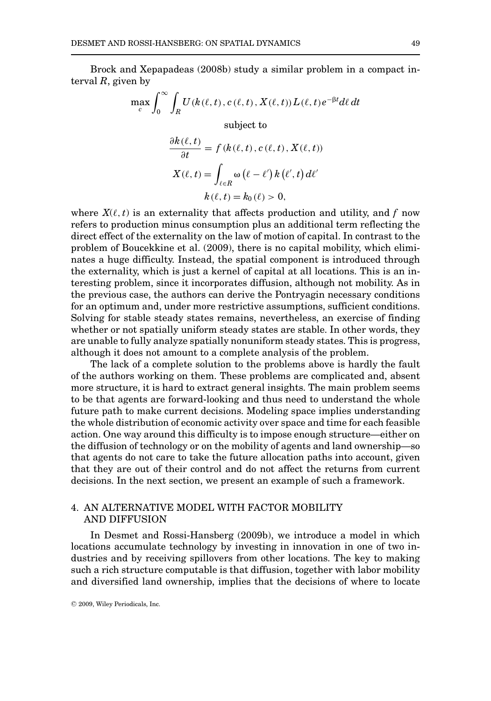Brock and Xepapadeas (2008b) study a similar problem in a compact interval *R*, given by

$$
\max_{c} \int_{0}^{\infty} \int_{R} U(k(\ell, t), c(\ell, t), X(\ell, t)) L(\ell, t) e^{-\beta t} dt dt
$$
  
subject to

$$
\frac{\partial k(\ell, t)}{\partial t} = f(k(\ell, t), c(\ell, t), X(\ell, t))
$$

$$
X(\ell, t) = \int_{\ell \in R} \omega(\ell - \ell') k(\ell', t) d\ell'
$$

$$
k(\ell, t) = k_0(\ell) > 0,
$$

where  $X(\ell, t)$  is an externality that affects production and utility, and f now refers to production minus consumption plus an additional term reflecting the direct effect of the externality on the law of motion of capital. In contrast to the problem of Boucekkine et al. (2009), there is no capital mobility, which eliminates a huge difficulty. Instead, the spatial component is introduced through the externality, which is just a kernel of capital at all locations. This is an interesting problem, since it incorporates diffusion, although not mobility. As in the previous case, the authors can derive the Pontryagin necessary conditions for an optimum and, under more restrictive assumptions, sufficient conditions. Solving for stable steady states remains, nevertheless, an exercise of finding whether or not spatially uniform steady states are stable. In other words, they are unable to fully analyze spatially nonuniform steady states. This is progress, although it does not amount to a complete analysis of the problem.

The lack of a complete solution to the problems above is hardly the fault of the authors working on them. These problems are complicated and, absent more structure, it is hard to extract general insights. The main problem seems to be that agents are forward-looking and thus need to understand the whole future path to make current decisions. Modeling space implies understanding the whole distribution of economic activity over space and time for each feasible action. One way around this difficulty is to impose enough structure—either on the diffusion of technology or on the mobility of agents and land ownership—so that agents do not care to take the future allocation paths into account, given that they are out of their control and do not affect the returns from current decisions. In the next section, we present an example of such a framework.

# 4. AN ALTERNATIVE MODEL WITH FACTOR MOBILITY AND DIFFUSION

In Desmet and Rossi-Hansberg (2009b), we introduce a model in which locations accumulate technology by investing in innovation in one of two industries and by receiving spillovers from other locations. The key to making such a rich structure computable is that diffusion, together with labor mobility and diversified land ownership, implies that the decisions of where to locate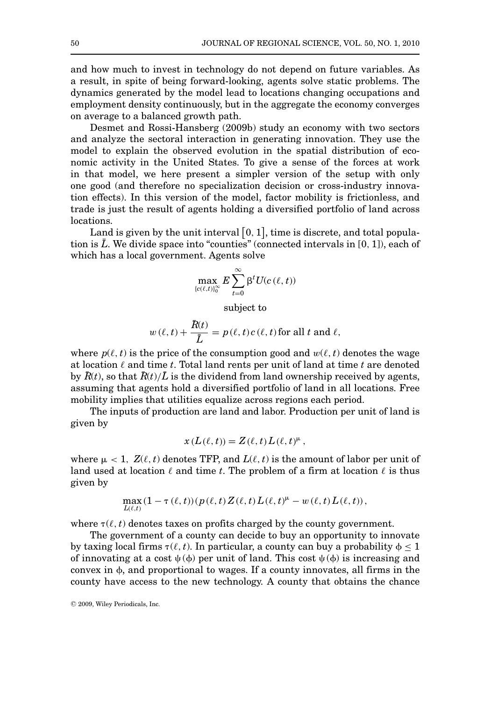and how much to invest in technology do not depend on future variables. As a result, in spite of being forward-looking, agents solve static problems. The dynamics generated by the model lead to locations changing occupations and employment density continuously, but in the aggregate the economy converges on average to a balanced growth path.

Desmet and Rossi-Hansberg (2009b) study an economy with two sectors and analyze the sectoral interaction in generating innovation. They use the model to explain the observed evolution in the spatial distribution of economic activity in the United States. To give a sense of the forces at work in that model, we here present a simpler version of the setup with only one good (and therefore no specialization decision or cross-industry innovation effects). In this version of the model, factor mobility is frictionless, and trade is just the result of agents holding a diversified portfolio of land across locations.

Land is given by the unit interval  $[0, 1]$ , time is discrete, and total population is  $\bar{L}$ . We divide space into "counties" (connected intervals in [0, 1]), each of which has a local government. Agents solve

$$
\max_{\{c(\ell,t)\}_{0}^{\infty}} E \sum_{t=0}^{\infty} \beta^{t} U(c(\ell,t))
$$

subject to

$$
w(\ell, t) + \frac{\bar{R}(t)}{L} = p(\ell, t) c(\ell, t) \text{ for all } t \text{ and } \ell,
$$

where  $p(\ell, t)$  is the price of the consumption good and  $w(\ell, t)$  denotes the wage at location  $\ell$  and time  $t$ . Total land rents per unit of land at time  $t$  are denoted by  $\bar{R}(t)$ , so that  $\bar{R}(t)/\bar{L}$  is the dividend from land ownership received by agents, assuming that agents hold a diversified portfolio of land in all locations. Free mobility implies that utilities equalize across regions each period.

The inputs of production are land and labor. Production per unit of land is given by

$$
x\left(L(\ell,t)\right)=Z(\ell,t)L(\ell,t)^\mu\,,
$$

where  $\mu < 1$ ,  $Z(\ell, t)$  denotes TFP, and  $L(\ell, t)$  is the amount of labor per unit of land used at location  $\ell$  and time *t*. The problem of a firm at location  $\ell$  is thus given by

$$
\max_{L(\ell,t)} (1-\tau(\ell,t))(p(\ell,t)Z(\ell,t)L(\ell,t)^{\mu}-w(\ell,t)L(\ell,t)),
$$

where  $\tau(\ell, t)$  denotes taxes on profits charged by the county government.

The government of a county can decide to buy an opportunity to innovate by taxing local firms  $\tau(\ell, t)$ . In particular, a county can buy a probability  $\phi \leq 1$ of innovating at a cost  $\psi(\phi)$  per unit of land. This cost  $\psi(\phi)$  is increasing and convex in  $\phi$ , and proportional to wages. If a county innovates, all firms in the county have access to the new technology. A county that obtains the chance

 $©$  2009, Wiley Periodicals, Inc.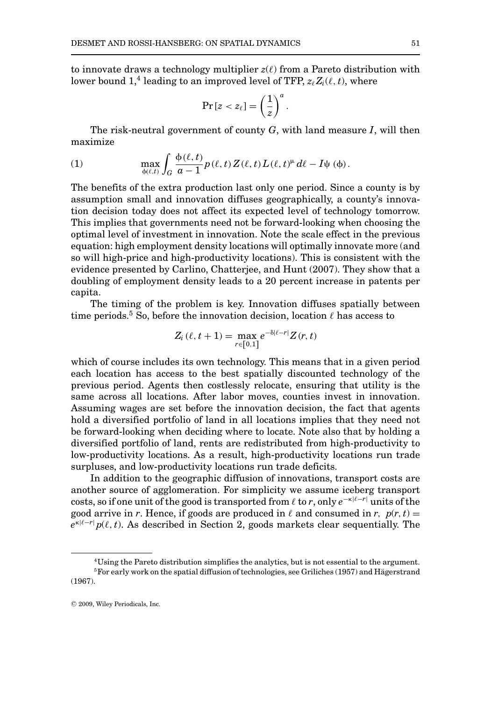to innovate draws a technology multiplier  $z(\ell)$  from a Pareto distribution with lower bound 1,<sup>4</sup> leading to an improved level of TFP,  $z_{\ell}Z_i(\ell,t)$ , where

$$
\Pr[z < z_{\ell}] = \left(\frac{1}{z}\right)^{a}.
$$

The risk-neutral government of county *G*, with land measure *I*, will then maximize

(1) 
$$
\max_{\phi(\ell,t)} \int_G \frac{\phi(\ell,t)}{a-1} p(\ell,t) Z(\ell,t) L(\ell,t)^{\mu} d\ell - I \psi(\phi).
$$

The benefits of the extra production last only one period. Since a county is by assumption small and innovation diffuses geographically, a county's innovation decision today does not affect its expected level of technology tomorrow. This implies that governments need not be forward-looking when choosing the optimal level of investment in innovation. Note the scale effect in the previous equation: high employment density locations will optimally innovate more (and so will high-price and high-productivity locations). This is consistent with the evidence presented by Carlino, Chatterjee, and Hunt (2007). They show that a doubling of employment density leads to a 20 percent increase in patents per capita.

The timing of the problem is key. Innovation diffuses spatially between time periods.<sup>5</sup> So, before the innovation decision, location  $\ell$  has access to

$$
Z_i(\ell, t+1) = \max_{r \in [0,1]} e^{-\delta |\ell - r|} Z(r, t)
$$

which of course includes its own technology. This means that in a given period each location has access to the best spatially discounted technology of the previous period. Agents then costlessly relocate, ensuring that utility is the same across all locations. After labor moves, counties invest in innovation. Assuming wages are set before the innovation decision, the fact that agents hold a diversified portfolio of land in all locations implies that they need not be forward-looking when deciding where to locate. Note also that by holding a diversified portfolio of land, rents are redistributed from high-productivity to low-productivity locations. As a result, high-productivity locations run trade surpluses, and low-productivity locations run trade deficits.

In addition to the geographic diffusion of innovations, transport costs are another source of agglomeration. For simplicity we assume iceberg transport costs, so if one unit of the good is transported from  $\ell$  to *r*, only  $e^{-\kappa |\ell - r|}$  units of the good arrive in *r*. Hence, if goods are produced in  $\ell$  and consumed in *r*,  $p(r, t) =$  $e^{\kappa |\ell - r|} p(\ell, t)$ . As described in Section 2, goods markets clear sequentially. The

<sup>4</sup>Using the Pareto distribution simplifies the analytics, but is not essential to the argument.

 $5$ For early work on the spatial diffusion of technologies, see Griliches (1957) and Hägerstrand (1967).

 $©$  2009, Wiley Periodicals, Inc.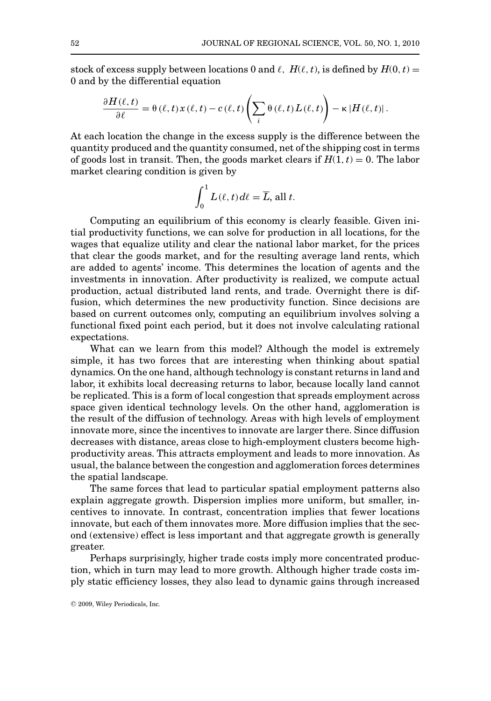stock of excess supply between locations 0 and  $\ell$ ,  $H(\ell, t)$ , is defined by  $H(0, t) =$ 0 and by the differential equation

$$
\frac{\partial H(\ell,t)}{\partial \ell} = \theta(\ell,t)x(\ell,t) - c(\ell,t)\left(\sum_i \theta(\ell,t)L(\ell,t)\right) - \kappa |H(\ell,t)|.
$$

At each location the change in the excess supply is the difference between the quantity produced and the quantity consumed, net of the shipping cost in terms of goods lost in transit. Then, the goods market clears if  $H(1, t) = 0$ . The labor market clearing condition is given by

$$
\int_0^1 L(\ell, t) d\ell = \overline{L}, \text{ all } t.
$$

Computing an equilibrium of this economy is clearly feasible. Given initial productivity functions, we can solve for production in all locations, for the wages that equalize utility and clear the national labor market, for the prices that clear the goods market, and for the resulting average land rents, which are added to agents' income. This determines the location of agents and the investments in innovation. After productivity is realized, we compute actual production, actual distributed land rents, and trade. Overnight there is diffusion, which determines the new productivity function. Since decisions are based on current outcomes only, computing an equilibrium involves solving a functional fixed point each period, but it does not involve calculating rational expectations.

What can we learn from this model? Although the model is extremely simple, it has two forces that are interesting when thinking about spatial dynamics. On the one hand, although technology is constant returns in land and labor, it exhibits local decreasing returns to labor, because locally land cannot be replicated. This is a form of local congestion that spreads employment across space given identical technology levels. On the other hand, agglomeration is the result of the diffusion of technology. Areas with high levels of employment innovate more, since the incentives to innovate are larger there. Since diffusion decreases with distance, areas close to high-employment clusters become highproductivity areas. This attracts employment and leads to more innovation. As usual, the balance between the congestion and agglomeration forces determines the spatial landscape.

The same forces that lead to particular spatial employment patterns also explain aggregate growth. Dispersion implies more uniform, but smaller, incentives to innovate. In contrast, concentration implies that fewer locations innovate, but each of them innovates more. More diffusion implies that the second (extensive) effect is less important and that aggregate growth is generally greater.

Perhaps surprisingly, higher trade costs imply more concentrated production, which in turn may lead to more growth. Although higher trade costs imply static efficiency losses, they also lead to dynamic gains through increased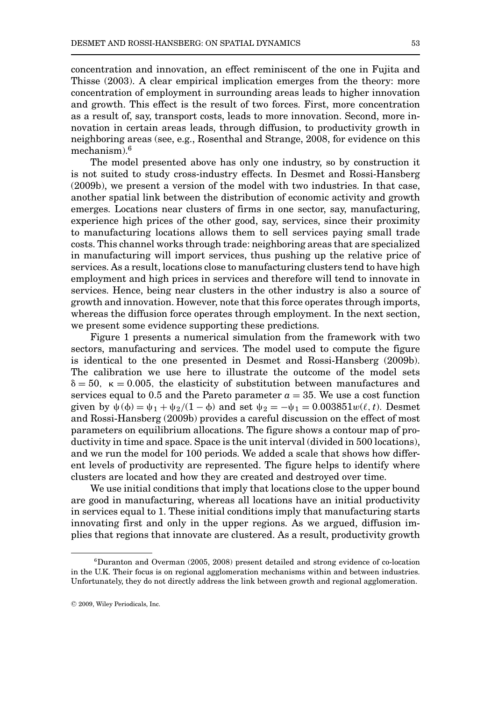concentration and innovation, an effect reminiscent of the one in Fujita and Thisse (2003). A clear empirical implication emerges from the theory: more concentration of employment in surrounding areas leads to higher innovation and growth. This effect is the result of two forces. First, more concentration as a result of, say, transport costs, leads to more innovation. Second, more innovation in certain areas leads, through diffusion, to productivity growth in neighboring areas (see, e.g., Rosenthal and Strange, 2008, for evidence on this mechanism).6

The model presented above has only one industry, so by construction it is not suited to study cross-industry effects. In Desmet and Rossi-Hansberg (2009b), we present a version of the model with two industries. In that case, another spatial link between the distribution of economic activity and growth emerges. Locations near clusters of firms in one sector, say, manufacturing, experience high prices of the other good, say, services, since their proximity to manufacturing locations allows them to sell services paying small trade costs. This channel works through trade: neighboring areas that are specialized in manufacturing will import services, thus pushing up the relative price of services. As a result, locations close to manufacturing clusters tend to have high employment and high prices in services and therefore will tend to innovate in services. Hence, being near clusters in the other industry is also a source of growth and innovation. However, note that this force operates through imports, whereas the diffusion force operates through employment. In the next section, we present some evidence supporting these predictions.

Figure 1 presents a numerical simulation from the framework with two sectors, manufacturing and services. The model used to compute the figure is identical to the one presented in Desmet and Rossi-Hansberg (2009b). The calibration we use here to illustrate the outcome of the model sets  $\delta = 50$ ,  $\kappa = 0.005$ , the elasticity of substitution between manufactures and services equal to 0.5 and the Pareto parameter  $a = 35$ . We use a cost function given by  $\psi(\phi) = \psi_1 + \psi_2/(1 - \phi)$  and set  $\psi_2 = -\psi_1 = 0.003851w(\ell, t)$ . Desmet and Rossi-Hansberg (2009b) provides a careful discussion on the effect of most parameters on equilibrium allocations. The figure shows a contour map of productivity in time and space. Space is the unit interval (divided in 500 locations), and we run the model for 100 periods. We added a scale that shows how different levels of productivity are represented. The figure helps to identify where clusters are located and how they are created and destroyed over time.

We use initial conditions that imply that locations close to the upper bound are good in manufacturing, whereas all locations have an initial productivity in services equal to 1. These initial conditions imply that manufacturing starts innovating first and only in the upper regions. As we argued, diffusion implies that regions that innovate are clustered. As a result, productivity growth

<sup>6</sup>Duranton and Overman (2005, 2008) present detailed and strong evidence of co-location in the U.K. Their focus is on regional agglomeration mechanisms within and between industries. Unfortunately, they do not directly address the link between growth and regional agglomeration.

 $©$  2009, Wiley Periodicals, Inc.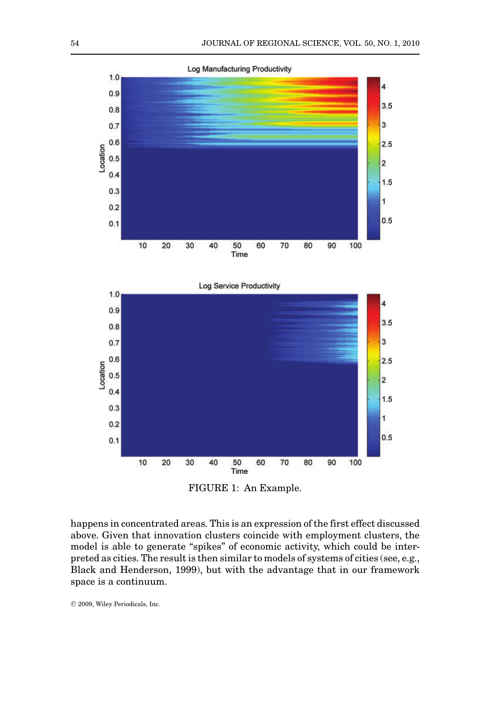

FIGURE 1: An Example.

happens in concentrated areas. This is an expression of the first effect discussed above. Given that innovation clusters coincide with employment clusters, the model is able to generate "spikes" of economic activity, which could be interpreted as cities. The result is then similar to models of systems of cities (see, e.g., Black and Henderson, 1999), but with the advantage that in our framework space is a continuum.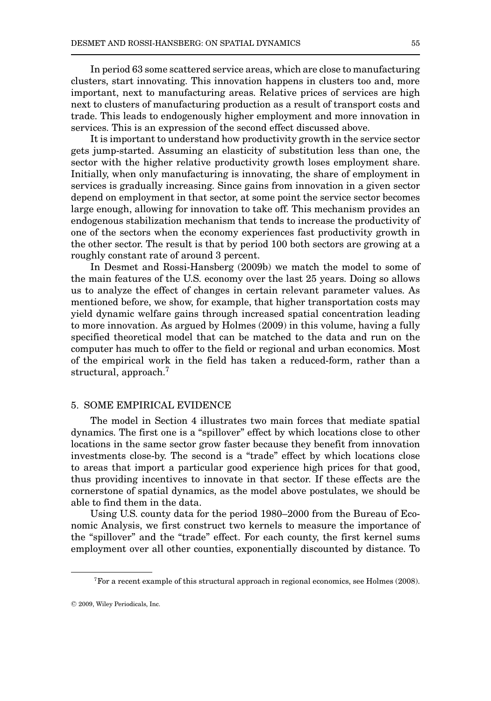In period 63 some scattered service areas, which are close to manufacturing clusters, start innovating. This innovation happens in clusters too and, more important, next to manufacturing areas. Relative prices of services are high next to clusters of manufacturing production as a result of transport costs and trade. This leads to endogenously higher employment and more innovation in services. This is an expression of the second effect discussed above.

It is important to understand how productivity growth in the service sector gets jump-started. Assuming an elasticity of substitution less than one, the sector with the higher relative productivity growth loses employment share. Initially, when only manufacturing is innovating, the share of employment in services is gradually increasing. Since gains from innovation in a given sector depend on employment in that sector, at some point the service sector becomes large enough, allowing for innovation to take off. This mechanism provides an endogenous stabilization mechanism that tends to increase the productivity of one of the sectors when the economy experiences fast productivity growth in the other sector. The result is that by period 100 both sectors are growing at a roughly constant rate of around 3 percent.

In Desmet and Rossi-Hansberg (2009b) we match the model to some of the main features of the U.S. economy over the last 25 years. Doing so allows us to analyze the effect of changes in certain relevant parameter values. As mentioned before, we show, for example, that higher transportation costs may yield dynamic welfare gains through increased spatial concentration leading to more innovation. As argued by Holmes (2009) in this volume, having a fully specified theoretical model that can be matched to the data and run on the computer has much to offer to the field or regional and urban economics. Most of the empirical work in the field has taken a reduced-form, rather than a structural, approach.7

## 5. SOME EMPIRICAL EVIDENCE

The model in Section 4 illustrates two main forces that mediate spatial dynamics. The first one is a "spillover" effect by which locations close to other locations in the same sector grow faster because they benefit from innovation investments close-by. The second is a "trade" effect by which locations close to areas that import a particular good experience high prices for that good, thus providing incentives to innovate in that sector. If these effects are the cornerstone of spatial dynamics, as the model above postulates, we should be able to find them in the data.

Using U.S. county data for the period 1980–2000 from the Bureau of Economic Analysis, we first construct two kernels to measure the importance of the "spillover" and the "trade" effect. For each county, the first kernel sums employment over all other counties, exponentially discounted by distance. To

<sup>7</sup>For a recent example of this structural approach in regional economics, see Holmes (2008).

 $©$  2009, Wiley Periodicals, Inc.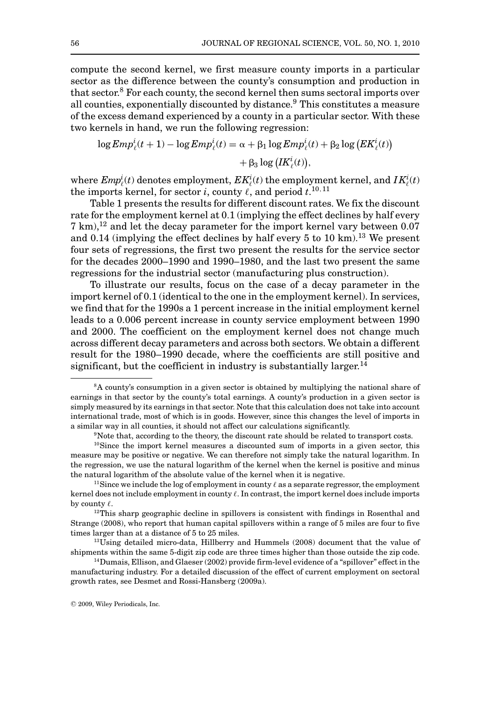compute the second kernel, we first measure county imports in a particular sector as the difference between the county's consumption and production in that sector.<sup>8</sup> For each county, the second kernel then sums sectoral imports over all counties, exponentially discounted by distance.9 This constitutes a measure of the excess demand experienced by a county in a particular sector. With these two kernels in hand, we run the following regression:

$$
\log Emp_{\ell}^{i}(t+1) - \log Emp_{\ell}^{i}(t) = \alpha + \beta_1 \log Emp_{\ell}^{i}(t) + \beta_2 \log (EK_{\ell}^{i}(t)) + \beta_3 \log (IK_{\ell}^{i}(t)),
$$

where  $Emp_\ell^i(t)$  denotes employment,  $EK_\ell^i(t)$  the employment kernel, and  $IK_\ell^i(t)$ the imports kernel, for sector *i*, county  $\ell$ , and period  $t$ .<sup>10,11</sup>

Table 1 presents the results for different discount rates. We fix the discount rate for the employment kernel at 0.1 (implying the effect declines by half every  $7 \text{ km}$ ,<sup>12</sup> and let the decay parameter for the import kernel vary between 0.07 and 0.14 (implying the effect declines by half every 5 to 10 km).<sup>13</sup> We present four sets of regressions, the first two present the results for the service sector for the decades 2000–1990 and 1990–1980, and the last two present the same regressions for the industrial sector (manufacturing plus construction).

To illustrate our results, focus on the case of a decay parameter in the import kernel of 0.1 (identical to the one in the employment kernel). In services, we find that for the 1990s a 1 percent increase in the initial employment kernel leads to a 0.006 percent increase in county service employment between 1990 and 2000. The coefficient on the employment kernel does not change much across different decay parameters and across both sectors. We obtain a different result for the 1980–1990 decade, where the coefficients are still positive and significant, but the coefficient in industry is substantially larger.<sup>14</sup>

<sup>8</sup>A county's consumption in a given sector is obtained by multiplying the national share of earnings in that sector by the county's total earnings. A county's production in a given sector is simply measured by its earnings in that sector. Note that this calculation does not take into account international trade, most of which is in goods. However, since this changes the level of imports in a similar way in all counties, it should not affect our calculations significantly.

<sup>9</sup>Note that, according to the theory, the discount rate should be related to transport costs.

<sup>&</sup>lt;sup>10</sup>Since the import kernel measures a discounted sum of imports in a given sector, this measure may be positive or negative. We can therefore not simply take the natural logarithm. In the regression, we use the natural logarithm of the kernel when the kernel is positive and minus the natural logarithm of the absolute value of the kernel when it is negative.

<sup>&</sup>lt;sup>11</sup>Since we include the log of employment in county  $\ell$  as a separate regressor, the employment kernel does not include employment in county  $\ell$ . In contrast, the import kernel does include imports by county  $\ell$ .

<sup>&</sup>lt;sup>12</sup>This sharp geographic decline in spillovers is consistent with findings in Rosenthal and Strange (2008), who report that human capital spillovers within a range of 5 miles are four to five times larger than at a distance of 5 to 25 miles.

<sup>13</sup>Using detailed micro-data, Hillberry and Hummels (2008) document that the value of shipments within the same 5-digit zip code are three times higher than those outside the zip code.

<sup>&</sup>lt;sup>14</sup>Dumais, Ellison, and Glaeser (2002) provide firm-level evidence of a "spillover" effect in the manufacturing industry. For a detailed discussion of the effect of current employment on sectoral growth rates, see Desmet and Rossi-Hansberg (2009a).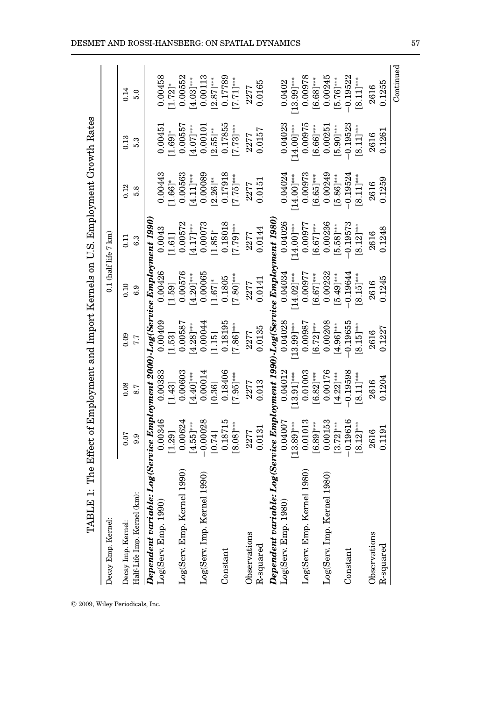| <b>TABLE</b>                                                                  | 1: The Effect of Employment and Import Kernels on U.S. Employment Growth Rates |                        |                           |                        |                                   |                           |                           |                           |
|-------------------------------------------------------------------------------|--------------------------------------------------------------------------------|------------------------|---------------------------|------------------------|-----------------------------------|---------------------------|---------------------------|---------------------------|
| Decay Emp. Kernel:                                                            |                                                                                |                        |                           |                        | $0.1$ (half life $7 \text{ km}$ ) |                           |                           |                           |
| Half-Life Imp. Kernel (km)<br>Decay Imp. Kernel:                              | 0.07<br>9.9                                                                    | 0.08<br>8.7            | 0.09<br>7.7               | 0.10<br>6.9            | $\frac{11}{11}$<br>6.3            | 0.12<br>5.8               | 0.13<br>5.3               | 0.14<br>5.0               |
| Dependent variable: Log(Service Employment 2000)-Log(Service Employment 1990, |                                                                                |                        |                           |                        |                                   |                           |                           |                           |
| Log(Serv. Emp. 1990)                                                          | 0.00346                                                                        | 0.00383                | 0.00409                   | 0.00426                | 0.0043                            | 0.00443                   | 0.00451                   | 0.00458                   |
|                                                                               | [1.29]                                                                         | [1.43]                 | [1.53]                    | [1.59]                 | 1.61]                             | $[1.66]$ *                | $[1.69]^{*}$              | $[1.72]$ *                |
| Log(Serv. Emp. Kernel 1990)                                                   | 0.00624                                                                        | 0.00603                | 0.00587                   | 0.00576                | 0.00572                           | 0.00563                   | 0.00557                   | 0.00552                   |
| 1990)<br>Log(Serv. Imp. Kernel                                                | $-0.00028$<br>$[4.55]$ ***                                                     | 0.00014<br>$[4.40]***$ | 0.00044<br>$[4.28]^{***}$ | 0.00065<br>$[4.20]***$ | 0.00073<br>$[4.17]^{***}$         | 0.00089<br>$[4.11]^{***}$ | 0.00101<br>$[4.07]^{***}$ | 0.00113<br>$[4.03]^{***}$ |
|                                                                               | [0.74]                                                                         | [0.36]                 | [1.15]                    | $[1.67]$ *             | $1.85$ <sup>*</sup>               | $[2.26]^{**}$             | $[2.55]^{**}$             | $[2.87]***$               |
| Constant                                                                      | 0.18715                                                                        | 0.18406                | 0.18195                   | 0.1805                 | 0.18018                           | 0.17918                   | 0.17855                   | 0.17789                   |
|                                                                               | $[8.08]^{***}$                                                                 | $[7.95]^{***}$         | $[7.86]^{***}$            | $[7.80]^{***}$         | 7.79                              | $[7.75]^{***}$            | $[7.73]^{***}$            | $[7.71]^{***}$            |
| Observations                                                                  | 2277                                                                           | 2277                   | 2277                      |                        | 2277                              | 2277                      | 2277                      | 2277                      |
| R-squared                                                                     | 0.0131                                                                         | 0.013                  | 0.0135                    | 2277<br>0.0141         | 0.0144                            | 0.0151                    | 0.0157                    | 0.0165                    |
| Dependent variable: Log(Service Employment 1990)-Log(Service Employment 1980) |                                                                                |                        |                           |                        |                                   |                           |                           |                           |
| Log(Serv. Emp. 1980)                                                          | 0.04007                                                                        | 0.04012                | 0.04028                   | 0.04034                | 0.04026                           | 0.04024                   | 0.04023                   | 0.0402                    |
|                                                                               | $[13.89]^{***}$                                                                | $13.91$ <sup>***</sup> | $13.99$ ]***              | $[14.02]^{***}$        | $[14.00]^{***}$                   | $[14.00]^{***}$           | $14.00$ ]***              | $13.99$ ]***              |
| 11980)<br>Log(Serv. Emp. Kerne                                                | 0.01013                                                                        | 0.01003                | 0.00987                   | 0.00977                | 0.00977                           | 0.00973                   | 0.00975                   | 0.00978                   |
|                                                                               | $[6.89]***$                                                                    | $[6.82]***$            | $[6.72]***$               | $[6.67]***$            | $[6.67]***$                       | $[6.65]^{***}$            | $[6.66]^{***}$            | $[6.68]^{***}$            |
| 1980)<br>Log(Serv. Imp. Kernel                                                | 0.00153                                                                        | 0.00176                | 0.00208                   | 0.00232                | 0.00236                           | 0.00249                   | 0.00251                   | 0.00245                   |
|                                                                               | $[3.72]***$                                                                    | $[4.22]***$            | $[4.96]^{***}$            | $[5.49]$ ***           | $[5.58]$ ***                      | $[5.86]***$               | $[5.90]^{***}$            | $[5.76]^{***}$            |
| Constant                                                                      | $-0.19616$                                                                     | $-0.19598$             | $-0.19655$                | $-0.19644$             | $-0.19573$                        | $-0.19524$                | $-0.19523$                | $-0.19522$                |
|                                                                               | $[8.12]***$                                                                    | $[8.11]***$            | $[8.15]^{**}$             | $[8.15]^{***}$         | $[8.12]$ ***                      | $[8.11]^{***}$            | $[8.11]^{***}$            | $[8.11]^{***}$            |
| Observations                                                                  | 2616                                                                           | 2616                   | 2616                      | 2616                   | 2616                              | 2616                      | 2616                      | 2616                      |
| R-squared                                                                     | 0.1191                                                                         | 0.1204                 | 0.1227                    | 0.1245                 | 0.1248                            | 0.1259                    | 0.1261                    | 0.1255                    |
|                                                                               |                                                                                |                        |                           |                        |                                   |                           |                           | Continued                 |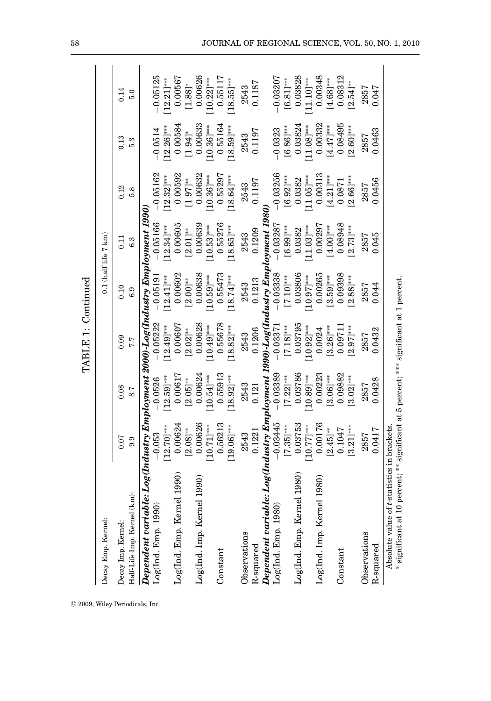|                                                                                 |                                                                      |                 | TABLE 1: Continued |                        |                                   |                          |                 |                |
|---------------------------------------------------------------------------------|----------------------------------------------------------------------|-----------------|--------------------|------------------------|-----------------------------------|--------------------------|-----------------|----------------|
| Decay Emp. Kernel:                                                              |                                                                      |                 |                    |                        | $0.1$ (half life $7 \text{ km}$ ) |                          |                 |                |
| Half-Life Imp. Kernel (km):<br>Decay Imp. Kernel:                               | 0.07<br>9.9                                                          | 0.08<br>8.7     | 0.09<br>7.7        | 0.10<br>6.9            | $\Xi$<br>6.3                      | 0.12<br>5.8              | 0.13<br>53      | 0.14<br>5.0    |
| Dependent variable: Log(Industry Employment 2000)-Log(Industry Employment 1990) |                                                                      |                 |                    |                        |                                   |                          |                 |                |
| Log(Ind. Emp. 1990)                                                             | $-0.053$                                                             | $-0.0526$       | $-0.05222$         | $-0.05191$             | $-0.05166$                        | $-0.05162$               | $-0.0514$       | $-0.05125$     |
|                                                                                 | $[12.70]^{***}$                                                      | $[12.59]***$    | $[12.49]***$       | $[12.41]***$           | $[12.34]***$                      | $[12.32]***$             | $[12.26]^{***}$ | $12.21$ ]***   |
| Log(Ind. Emp. Kernel 1990)                                                      | 0.00624                                                              | 0.00617         | 0.00607            | 0.00602                | 0.00605                           | 0.00592                  | 0.00584         | 0.00567        |
|                                                                                 | $[2.08]^{**}$                                                        | $[2.05]^{**}$   | $[2.02]^{**}$      | $[2.00]^{**}$          | $[2.01]^{**}$                     | $[1.97]^{**}$            | $[1.94]$ *      | $[1.88]^{*}$   |
| 1990)<br>Log(Ind. Imp. Kernel                                                   | 0.00626                                                              | 0.00624         | 0.00628            | 0.00638                | 0.00639                           | 0.00632                  | 0.00633         | 0.00626        |
|                                                                                 | $[10.71]$ ***                                                        | $[10.54]***$    | $[10.49]^{***}$    | $10.59$ ]***           | $[10.53]***$                      | $10.36$ ]***             | $[10.36]***$    | $10.22$ ]***   |
| Constant                                                                        | 0.56213                                                              | 0.55913         | 0.55678            | 0.55473                | 0.55276                           | 0.55297                  | 0.55164         | 0.55117        |
|                                                                                 | $[19.06]^{***}$                                                      | $[18.92]^{***}$ | $[18.82]***$       | $[18.74]$ ***          | $[18.65]***$                      | $18.64$ ]***             | $[18.59]^{***}$ | $[18.55]***$   |
| Observations                                                                    | 2543                                                                 | 2543            | 2543               | 2543                   | 2543                              | 2543                     | 2543            | 2543           |
| R-squared                                                                       | 0.1221                                                               | 0.121           | 0.1206             | 0.1213                 | 0.1209                            | 0.1197                   | 0.1197          | 0.1187         |
| Dependent variable: Log(Industry Employment 1990):Log(Industry Employment 1980) |                                                                      |                 |                    |                        |                                   |                          |                 |                |
| Log(Ind. Emp. 1980)                                                             | $-0.03445$                                                           | $-0.03389$      | $-0.03371$         | $-0.03338$             | $-0.03287$                        | $-0.03256$               | $-0.0323$       | $-0.03207$     |
|                                                                                 | $[7.35]***$                                                          | $[7.22]^{***}$  | $[7.18]^{***}$     | $[7.10]^{***}$         | $[6.99]***$                       | $[6.92]***$              | $[6.86]***$     | $[6.81]***$    |
| Log(Ind. Emp. Kernel 1980)                                                      | 0.03753                                                              | 0.03786         | 0.03795            | 0.03806                | 0.0382                            | 0.0382                   | 0.03824         | 0.03828        |
|                                                                                 | $10.77$ ]***                                                         | $10.89$ ]***    | $10.92$ ]***       | $10.97$ <sup>***</sup> | $11.03$ <sup>***</sup>            | $11.05$ <sup>***</sup>   | $11.08$ ]***    | $11.10$ ]***   |
| 1980)<br>Log(Ind. Imp. Kernel                                                   | 0.00176                                                              | 0.00223         | 0.0024             | 0.00265                | 0.00297                           | 0.00313                  | 0.00332         | 0.00348        |
|                                                                                 | $[2.45]^{**}$                                                        | $[3.06]^{***}$  | $[3.26]^{***}$     | $[3.59]^{***}$         | $[4.00]^{***}$                    |                          | $[4.47]^{***}$  | $[4.68]^{***}$ |
| Constant                                                                        | 0.1047                                                               | 0.09882         | 0.09711            | 0.09398                | 0.08948                           | $[4.21]^{***}$<br>0.0871 | 0.08495         | 0.08312        |
|                                                                                 | $[3.21]***$                                                          | $[3.02]^{***}$  | $[2.97]^{***}$     | $[2.88]^{***}$         | $[2.73]^{***}$                    | $[2.66]^{***}$           | $[2.60]^{***}$  | $[2.54]$ **    |
| Observations                                                                    | 2857                                                                 | 2857            | 2857               | 2857                   | 2857                              | 2857                     | 2857            | 2857           |
| R-squared                                                                       | 0.0417                                                               | 0.0428          | 0.0432             | 0.044                  | 0.045                             | 0.0456                   | 0.0463          | 0.047          |
| Absolute value of <i>t</i> -statistics in brackets.<br>* significant at 10      | percent; *** significant at 5 percent; *** significant at 1 percent. |                 |                    |                        |                                   |                          |                 |                |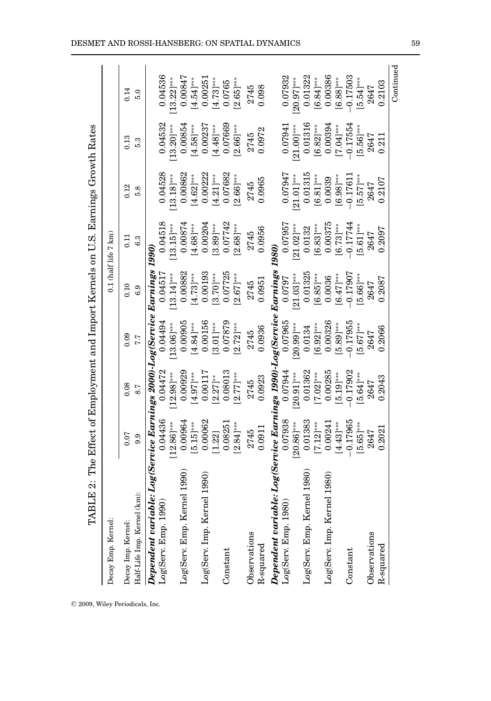| TABL                                                                       |                         |                     |                 |                 | E 2: The Effect of Employment and Import Kernels on U.S. Earnings Growth Rates |                 |                         |                         |
|----------------------------------------------------------------------------|-------------------------|---------------------|-----------------|-----------------|--------------------------------------------------------------------------------|-----------------|-------------------------|-------------------------|
| Decay Emp. Kernel:                                                         |                         |                     |                 |                 | $0.1$ (half life $7 \text{ km}$ )                                              |                 |                         |                         |
| Half-Life Imp. Kernel (km):<br>Decay Imp. Kernel:                          | 0.07<br>9.9             | 0.08<br>8.7         | 0.09<br>7.7     | 0.10<br>6.9     | 6.3<br>Ξ,                                                                      | 0.12<br>5.8     | 0.13<br>5.3             | 0.14<br>5.0             |
| Dependent variable: Log(Service Earnings 2000): Log(Service Earnings 1990) |                         |                     |                 |                 |                                                                                |                 |                         |                         |
| Log(Serv. Emp. 1990)                                                       | 0.04436                 | 0.04472             | 0.04494         | 0.04517         | 0.04518                                                                        | 0.04528         | 0.04532                 | 0.04536                 |
|                                                                            | $12.86$ ]***            | $12.98$ ]***        | $13.06$ ]***    | $[13.14]^{***}$ | $13.15$ ]***                                                                   | $13.18$ ]***    | $13.20$ ]***            | $13.22$ ]***            |
| Log(Serv. Emp. Kernel 1990)                                                | 0.00964                 | 0.00929             | 0.00905         | 0.00882         | 0.00874                                                                        | 0.00862         | 0.00854                 | 0.00847                 |
|                                                                            | $[5.15]^{***}$          | $[4.97]^{***}$      | $[4.84]^{***}$  | $[4.73]^{***}$  | $[4.68]^{***}$                                                                 | $[4.62]^{***}$  | $[4.58]***$             | $[4.54]***$             |
| 1990)<br>Log(Serv. Imp. Kernel                                             | 0.00062                 | 0.00117             | 0.00156         | 0.00193         | 0.00204                                                                        | 0.00222         | 0.00237                 | 0.00251                 |
|                                                                            | [1.22]                  | $[2.27]^{\ast\ast}$ | $[3.01]^{***}$  | $[3.70]***$     | $[3.89]***$                                                                    | $[4.21]^{***}$  | $[4.48]***$             | $[4.73]***$             |
| Constant                                                                   | 0.08251                 | 0.08013             | 0.07879         | 0.07725         | 0.07742                                                                        | 0.07682         | 0.07669                 | 0.0765                  |
|                                                                            | $[2.84]^{***}$          | $[2.77]^{***}$      | $[2.72]^{***}$  | $[2.67]^{***}$  | $[2.68]^{***}$                                                                 | $[2.66]^{***}$  | $[2.66]^{***}$          | $[2.65]^{***}$          |
| Observations                                                               | 2745                    | 2745                | 2745            | 2745            | 2745                                                                           | 2745            | 2745                    | 2745                    |
| R-squared                                                                  | 0.0911                  | 0.0923              | 0.0936          | 0.0951          | 0.0956                                                                         | 0.0965          | 0.0972                  | 0.098                   |
| Dependent variable: Log(Service Earnings 1990)-Log(Service Earnings 1980)  |                         |                     |                 |                 |                                                                                |                 |                         |                         |
| Log(Serv. Emp. 1980)                                                       | 0.07938                 | 0.07944             | 0.07965         | 0.0797          | 0.07957                                                                        | 0.07947         | 0.07941                 | 0.07932                 |
|                                                                            | $[20.86]^{***}$         | $[20.91]^{***}$     | $[20.99]^{***}$ | $[21.03]^{***}$ | $[21.02]^{***}$                                                                | $[21.01]^{***}$ | $[21.00]^{***}$         | $[20.97]^{***}$         |
| .1980<br>Log(Serv. Emp. Kerne                                              | 0.01383                 | 0.01362             | 0.0134          | 0.01325         | 0.0132                                                                         | 0.01315         | 0.01316                 | 0.01322                 |
|                                                                            | $[7.12]^{***}$          | $[7.02]^{***}$      | $[6.92]^{***}$  | $[6.85]^{***}$  | $[6.83]^{***}$                                                                 | $[6.81]^{***}$  | $[6.82]^{***}$          | $[6.84]^{***}$          |
| 1980)<br>Log(Serv. Imp. Kernel                                             | 0.00241                 | 0.00285             | 0.00326         | 0.0036          | 0.00375                                                                        | 0.0039          | 0.00394                 | 0.00386                 |
|                                                                            | $[4.43]^{\ast\ast\ast}$ | $[5.19]^{***}$      | $[6.89]***$     | $[6.47]^{***}$  | $[6.73]^{***}$                                                                 | $[6.98]^{***}$  | $[7.04]^{\ast\ast\ast}$ | $[6.88]***$<br>-0.17503 |
| Constant                                                                   | $-0.17965$              | $-0.17902$          | $-0.17955$      | $-0.17907$      | $-0.17744$                                                                     | $-0.17611$      | $-0.17554$              |                         |
|                                                                            | $[5.65]^{***}$          | $[5.64]^{***}$      | $[5.67]^{***}$  | $[5.66]^{***}$  | $[5.61]^{***}$                                                                 | $[5.57]^{***}$  | $[5.56]***$             | $[5.54]^{***}$          |
| Observations                                                               | 2647                    | 2647                | 2647            | 2647            | 2647                                                                           | 2647            | 2647                    | 2647                    |
| R-squared                                                                  | 0.2021                  | 0.2043              | 0.2066          | 0.2087          | 0.2097                                                                         | 0.2107          | 0.211                   | 0.2103                  |
|                                                                            |                         |                     |                 |                 |                                                                                |                 |                         | Continued               |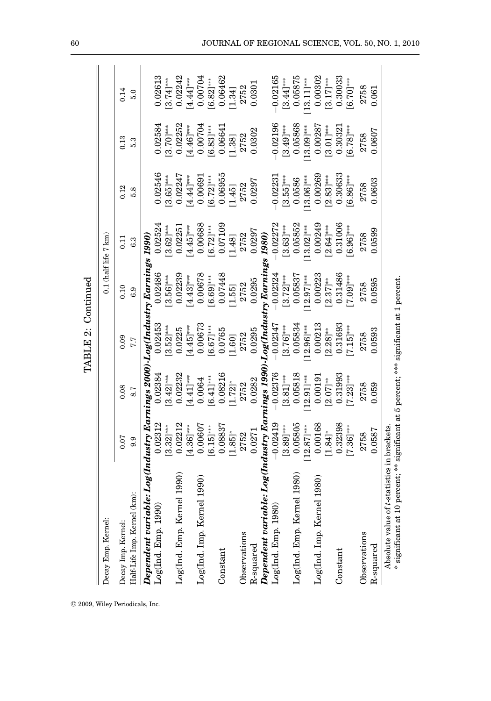|                                                                             |                                                                      |                | TABLE 2: Continued |                                                       |                                   |                        |                         |                |
|-----------------------------------------------------------------------------|----------------------------------------------------------------------|----------------|--------------------|-------------------------------------------------------|-----------------------------------|------------------------|-------------------------|----------------|
| Decay Emp. Kernel:                                                          |                                                                      |                |                    |                                                       | $0.1$ (half life $7 \text{ km}$ ) |                        |                         |                |
| Half-Life Imp. Kernel (km):<br>Decay Imp. Kernel:                           | 0.07<br>9.9                                                          | 0.08<br>8.7    | 0.09<br>7.7        | 0.10<br>6.9                                           | ロ<br>こ<br>6.3                     | 0.12<br>5.8            | 0.13<br>53              | 0.14<br>5.0    |
| Dependent variable: Log(Industry Earnings 2000)-Log(Industry Earnings 1990) |                                                                      |                |                    |                                                       |                                   |                        |                         |                |
| Log(Ind. Emp. 1990)                                                         | 0.02312                                                              | 0.02384        | 0.02453            | 0.02486                                               | 0.02524                           | 0.02546                | 0.02584                 | 0.02613        |
|                                                                             | $[3.32]***$                                                          | $[3.42]***$    | $[3.52]***$        | $[3.56]***$                                           | $[3.62]***$                       |                        | $[3.70]$ ***            | $[3.74]***$    |
| 1990)<br>Log(Ind. Emp. Kerne                                                | 0.02212                                                              | 0.02232        | 0.0225             | 0.02239                                               | 0.0225                            | $[3.65]***$<br>0.02247 | 0.02252                 | 0.02242        |
|                                                                             | $[4.36]***$                                                          | $[4.41]***$    | $[4.45]^{***}$     | $[4.43]^{***}$                                        | $[4.45]^{***}$                    | $(4.44]***$            | $[4.46]^{***}$          | $[4.44]^{***}$ |
| 1990)<br>Log(Ind. Imp. Kernel                                               | 0.00607                                                              | 0.0064         | 0.00673            | 0.00678                                               | 0.00688                           | 0.00691                | 0.00704                 | 0.00704        |
|                                                                             | $[6.15]^{***}$                                                       | $[6.41]^{***}$ | $[6.67]^{***}$     | $[6.69]^{***}$                                        | $[6.72]^{***}$                    | $[6.72]^{***}$         | $[6.83]^{***}$          | $[6.82]***$    |
| Constant                                                                    | 0.08837                                                              | 0.08216        | 0.0765             | 0.07448                                               | 0.07109                           | 0.06955                | 0.06641                 | 0.06462        |
|                                                                             | $[1.85]$ *                                                           | $[1.72]$ *     | [1.60]             | [1.55]                                                | [1.48]                            | [1.45]                 | [1.38]                  | [1.34]         |
| Observations                                                                | 2752                                                                 | 2752           | 2752               | 2752                                                  | 2752                              | 2752                   | 2752                    | 2752           |
| R-squared                                                                   | 0.0271                                                               | 0.0282         | 0.0295             | 0.0295                                                | 0.0297                            | 0.0297                 | 0.0302                  | 0.0301         |
| Dependent variable: Log(Industry Earnings 1990                              |                                                                      |                |                    |                                                       |                                   |                        |                         |                |
| Log(Ind. Emp. 1980)                                                         | $-0.02419$                                                           | $-0.02376$     |                    |                                                       | $-0.02272$                        | $-0.0223$              | $-0.02196$              | $-0.02165$     |
|                                                                             | $[3.89]***$                                                          | $[3.81]^{***}$ | $[3.76]^{***}$     | $[3.72]^{***}$                                        | $[3.63]^{***}$                    | $[3.55]***$            | $[3.49]^{***}$          | $[3.44]^{***}$ |
| Log(Ind. Emp. Kernel 1980)                                                  | 0.05805                                                              | 0.05818        | 0.05834            | 0.05837                                               | 0.05852                           | 0.0586                 | 0.05868                 | 0.05875        |
|                                                                             | $12.87$ ]***                                                         | $12.91$ ***    | $12.96$ ]***       | $12.97$ ]***                                          | $13.02$ ]***                      | $13.06$ ]***           | $13.09$ ]***            | $13.11$ ]***   |
| 1980)<br>Log(Ind. Imp. Kernel                                               | 0.00168                                                              | 0.00191        | 0.00213            | 0.00223                                               | 0.00249                           | 0.00269                | 0.00287                 | 0.00302        |
|                                                                             | $1.84$ <sup>*</sup>                                                  | $[2.07]^{**}$  | $[2.28]^{**}$      | $\begin{array}{c} [2.37]^{**} \\ 0.31486 \end{array}$ | $[2.64]^{***}$                    | $[2.83]^{***}$         | $[3.01]^{***}$          | $[3.17]***$    |
| Constant                                                                    | 0.32398                                                              | 0.31993        | 0.31693            |                                                       | 0.31006                           | 0.30633                | 0.30321                 | 0.30033        |
|                                                                             | $[7.36]^{***}$                                                       | $[7.23]***$    | $[7.15]^{***}$     | $[0.77]$ ***                                          | $[0.96]$ ***                      | $[6.86]$ ***           | $[6.78]^{\ast\ast\ast}$ | $[0.70]$ ***   |
| Observations                                                                | 2758                                                                 | 2758           | 2758               | 2758                                                  | 2758                              | 2758                   | 2758                    | 2758           |
| R-squared                                                                   | 0.0587                                                               | 0.059          | 0.0593             | 0.0595                                                | 0.0599                            | 0.0603                 | 0.0607                  | 0.061          |
| Absolute value of <i>t</i> -statistics in brackets<br>* significant at 10   | percent; *** significant at 5 percent; *** significant at 1 percent. |                |                    |                                                       |                                   |                        |                         |                |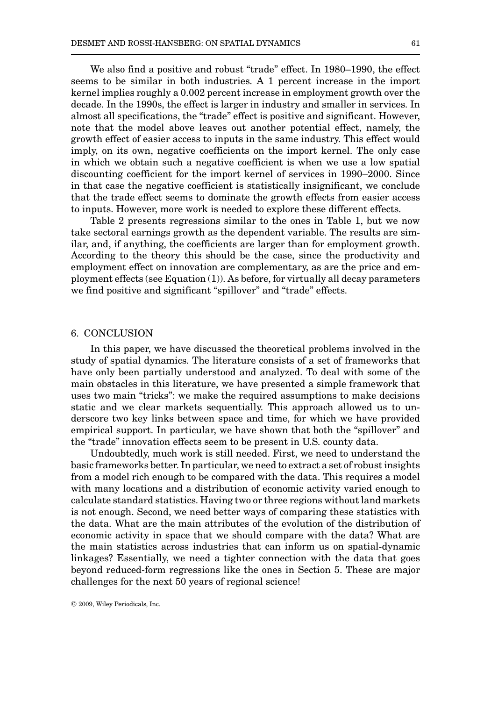We also find a positive and robust "trade" effect. In 1980–1990, the effect seems to be similar in both industries. A 1 percent increase in the import kernel implies roughly a 0.002 percent increase in employment growth over the decade. In the 1990s, the effect is larger in industry and smaller in services. In almost all specifications, the "trade" effect is positive and significant. However, note that the model above leaves out another potential effect, namely, the growth effect of easier access to inputs in the same industry. This effect would imply, on its own, negative coefficients on the import kernel. The only case in which we obtain such a negative coefficient is when we use a low spatial discounting coefficient for the import kernel of services in 1990–2000. Since in that case the negative coefficient is statistically insignificant, we conclude that the trade effect seems to dominate the growth effects from easier access to inputs. However, more work is needed to explore these different effects.

Table 2 presents regressions similar to the ones in Table 1, but we now take sectoral earnings growth as the dependent variable. The results are similar, and, if anything, the coefficients are larger than for employment growth. According to the theory this should be the case, since the productivity and employment effect on innovation are complementary, as are the price and employment effects (see Equation (1)). As before, for virtually all decay parameters we find positive and significant "spillover" and "trade" effects.

#### 6. CONCLUSION

In this paper, we have discussed the theoretical problems involved in the study of spatial dynamics. The literature consists of a set of frameworks that have only been partially understood and analyzed. To deal with some of the main obstacles in this literature, we have presented a simple framework that uses two main "tricks": we make the required assumptions to make decisions static and we clear markets sequentially. This approach allowed us to underscore two key links between space and time, for which we have provided empirical support. In particular, we have shown that both the "spillover" and the "trade" innovation effects seem to be present in U.S. county data.

Undoubtedly, much work is still needed. First, we need to understand the basic frameworks better. In particular, we need to extract a set of robust insights from a model rich enough to be compared with the data. This requires a model with many locations and a distribution of economic activity varied enough to calculate standard statistics. Having two or three regions without land markets is not enough. Second, we need better ways of comparing these statistics with the data. What are the main attributes of the evolution of the distribution of economic activity in space that we should compare with the data? What are the main statistics across industries that can inform us on spatial-dynamic linkages? Essentially, we need a tighter connection with the data that goes beyond reduced-form regressions like the ones in Section 5. These are major challenges for the next 50 years of regional science!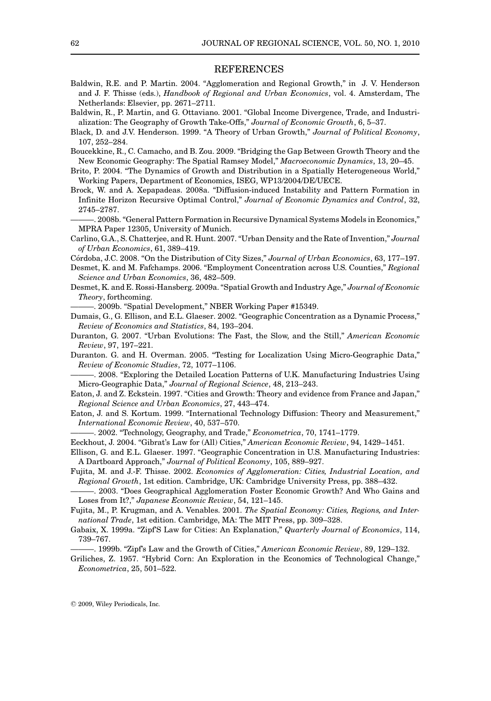## **REFERENCES**

- Baldwin, R.E. and P. Martin. 2004. "Agglomeration and Regional Growth," in J. V. Henderson and J. F. Thisse (eds.), *Handbook of Regional and Urban Economics*, vol. 4. Amsterdam, The Netherlands: Elsevier, pp. 2671–2711.
- Baldwin, R., P. Martin, and G. Ottaviano. 2001. "Global Income Divergence, Trade, and Industrialization: The Geography of Growth Take-Offs," *Journal of Economic Growth*, 6, 5–37.
- Black, D. and J.V. Henderson. 1999. "A Theory of Urban Growth," *Journal of Political Economy*, 107, 252–284.
- Boucekkine, R., C. Camacho, and B. Zou. 2009. "Bridging the Gap Between Growth Theory and the New Economic Geography: The Spatial Ramsey Model," *Macroeconomic Dynamics*, 13, 20–45.
- Brito, P. 2004. "The Dynamics of Growth and Distribution in a Spatially Heterogeneous World," Working Papers, Department of Economics, ISEG, WP13/2004/DE/UECE.
- Brock, W. and A. Xepapadeas. 2008a. "Diffusion-induced Instability and Pattern Formation in Infinite Horizon Recursive Optimal Control," *Journal of Economic Dynamics and Control*, 32, 2745–2787.

———. 2008b. "General Pattern Formation in Recursive Dynamical Systems Models in Economics," MPRA Paper 12305, University of Munich.

Carlino, G.A., S. Chatterjee, and R. Hunt. 2007. "Urban Density and the Rate of Invention," *Journal of Urban Economics*, 61, 389–419.

Cordoba, J.C. 2008. "On the Distribution of City Sizes," ´ *Journal of Urban Economics*, 63, 177–197.

- Desmet, K. and M. Fafchamps. 2006. "Employment Concentration across U.S. Counties," *Regional Science and Urban Economics*, 36, 482–509.
- Desmet, K. and E. Rossi-Hansberg. 2009a. "Spatial Growth and Industry Age," *Journal of Economic Theory*, forthcoming.

-. 2009b. "Spatial Development," NBER Working Paper #15349.

- Dumais, G., G. Ellison, and E.L. Glaeser. 2002. "Geographic Concentration as a Dynamic Process," *Review of Economics and Statistics*, 84, 193–204.
- Duranton, G. 2007. "Urban Evolutions: The Fast, the Slow, and the Still," *American Economic Review*, 97, 197–221.
- Duranton. G. and H. Overman. 2005. "Testing for Localization Using Micro-Geographic Data," *Review of Economic Studies*, 72, 1077–1106.

-. 2008. "Exploring the Detailed Location Patterns of U.K. Manufacturing Industries Using Micro-Geographic Data," *Journal of Regional Science*, 48, 213–243.

- Eaton, J. and Z. Eckstein. 1997. "Cities and Growth: Theory and evidence from France and Japan," *Regional Science and Urban Economics*, 27, 443–474.
- Eaton, J. and S. Kortum. 1999. "International Technology Diffusion: Theory and Measurement," *International Economic Review*, 40, 537–570.
- ———. 2002. "Technology, Geography, and Trade," *Econometrica*, 70, 1741–1779.
- Eeckhout, J. 2004. "Gibrat's Law for (All) Cities," *American Economic Review*, 94, 1429–1451.
- Ellison, G. and E.L. Glaeser. 1997. "Geographic Concentration in U.S. Manufacturing Industries: A Dartboard Approach," *Journal of Political Economy*, 105, 889–927.
- Fujita, M. and J.-F. Thisse. 2002. *Economics of Agglomeration: Cities, Industrial Location, and Regional Growth*, 1st edition. Cambridge, UK: Cambridge University Press, pp. 388–432.
- ———. 2003. "Does Geographical Agglomeration Foster Economic Growth? And Who Gains and Loses from It?," *Japanese Economic Review*, 54, 121–145.
- Fujita, M., P. Krugman, and A. Venables. 2001. *The Spatial Economy: Cities, Regions, and International Trade*, 1st edition. Cambridge, MA: The MIT Press, pp. 309–328.
- Gabaix, X. 1999a. "Zipf'S Law for Cities: An Explanation," *Quarterly Journal of Economics*, 114, 739–767.
	- ———. 1999b. "Zipf's Law and the Growth of Cities," *American Economic Review*, 89, 129–132.
- Griliches, Z. 1957. "Hybrid Corn: An Exploration in the Economics of Technological Change," *Econometrica*, 25, 501–522.